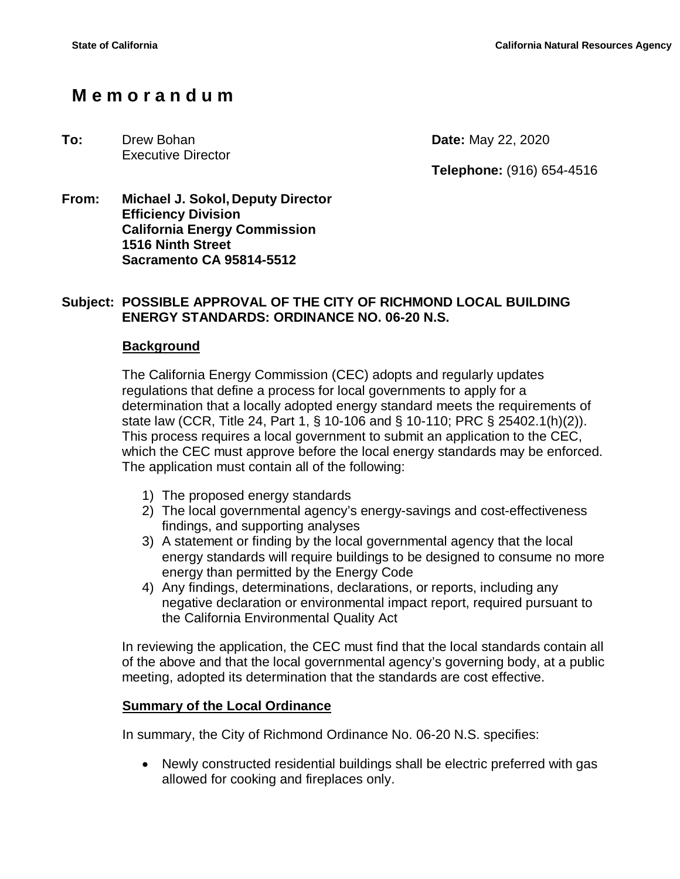# **M e m o r a n d u m**

#### **To:** Drew Bohan **Date:** May 22, 2020 Executive Director

**Telephone:** (916) 654-4516

**From: Michael J. Sokol, Deputy Director Efficiency Division California Energy Commission 1516 Ninth Street Sacramento CA 95814-5512**

### **Subject: POSSIBLE APPROVAL OF THE CITY OF RICHMOND LOCAL BUILDING ENERGY STANDARDS: ORDINANCE NO. 06-20 N.S.**

### **Background**

The California Energy Commission (CEC) adopts and regularly updates regulations that define a process for local governments to apply for a determination that a locally adopted energy standard meets the requirements of state law (CCR, Title 24, Part 1, § 10-106 and § 10-110; PRC § 25402.1(h)(2)). This process requires a local government to submit an application to the CEC, which the CEC must approve before the local energy standards may be enforced. The application must contain all of the following:

- 1) The proposed energy standards
- 2) The local governmental agency's energy-savings and cost-effectiveness findings, and supporting analyses
- 3) A statement or finding by the local governmental agency that the local energy standards will require buildings to be designed to consume no more energy than permitted by the Energy Code
- 4) Any findings, determinations, declarations, or reports, including any negative declaration or environmental impact report, required pursuant to the California Environmental Quality Act

In reviewing the application, the CEC must find that the local standards contain all of the above and that the local governmental agency's governing body, at a public meeting, adopted its determination that the standards are cost effective.

### **Summary of the Local Ordinance**

In summary, the City of Richmond Ordinance No. 06-20 N.S. specifies:

• Newly constructed residential buildings shall be electric preferred with gas allowed for cooking and fireplaces only.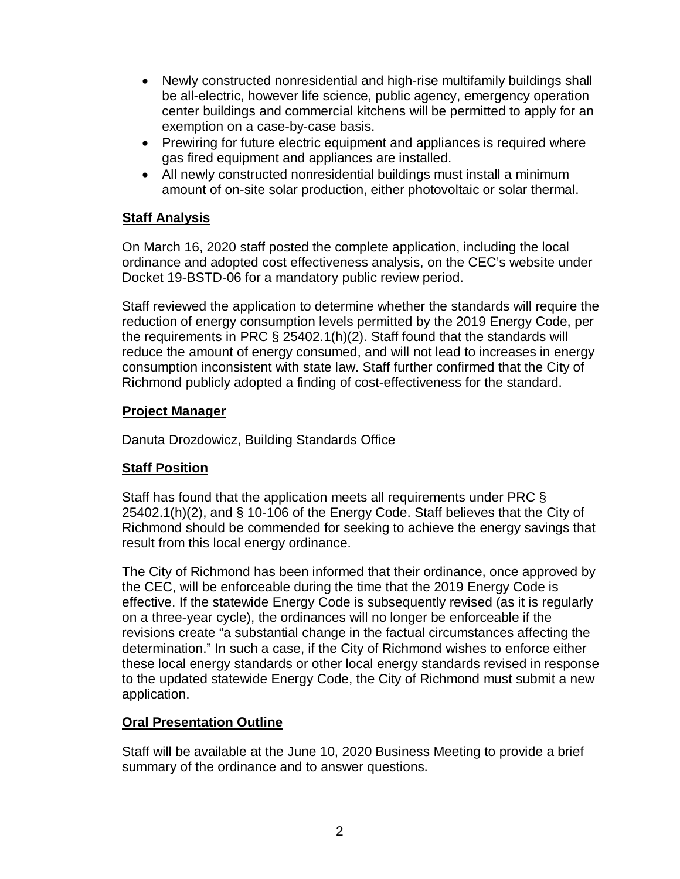- Newly constructed nonresidential and high-rise multifamily buildings shall be all-electric, however life science, public agency, emergency operation center buildings and commercial kitchens will be permitted to apply for an exemption on a case-by-case basis.
- Prewiring for future electric equipment and appliances is required where gas fired equipment and appliances are installed.
- All newly constructed nonresidential buildings must install a minimum amount of on-site solar production, either photovoltaic or solar thermal.

## **Staff Analysis**

On March 16, 2020 staff posted the complete application, including the local ordinance and adopted cost effectiveness analysis, on the CEC's website under Docket 19-BSTD-06 for a mandatory public review period.

Staff reviewed the application to determine whether the standards will require the reduction of energy consumption levels permitted by the 2019 Energy Code, per the requirements in PRC § 25402.1(h)(2). Staff found that the standards will reduce the amount of energy consumed, and will not lead to increases in energy consumption inconsistent with state law. Staff further confirmed that the City of Richmond publicly adopted a finding of cost-effectiveness for the standard.

## **Project Manager**

Danuta Drozdowicz, Building Standards Office

## **Staff Position**

Staff has found that the application meets all requirements under PRC § 25402.1(h)(2), and § 10-106 of the Energy Code. Staff believes that the City of Richmond should be commended for seeking to achieve the energy savings that result from this local energy ordinance.

The City of Richmond has been informed that their ordinance, once approved by the CEC, will be enforceable during the time that the 2019 Energy Code is effective. If the statewide Energy Code is subsequently revised (as it is regularly on a three-year cycle), the ordinances will no longer be enforceable if the revisions create "a substantial change in the factual circumstances affecting the determination." In such a case, if the City of Richmond wishes to enforce either these local energy standards or other local energy standards revised in response to the updated statewide Energy Code, the City of Richmond must submit a new application.

## **Oral Presentation Outline**

Staff will be available at the June 10, 2020 Business Meeting to provide a brief summary of the ordinance and to answer questions.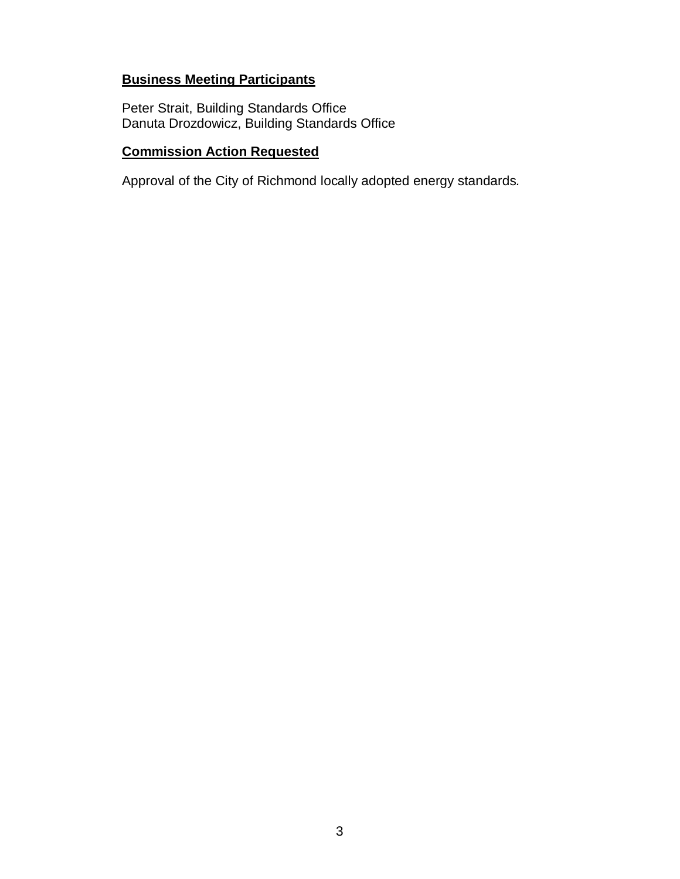## **Business Meeting Participants**

Peter Strait, Building Standards Office Danuta Drozdowicz, Building Standards Office

## **Commission Action Requested**

Approval of the City of Richmond locally adopted energy standards*.*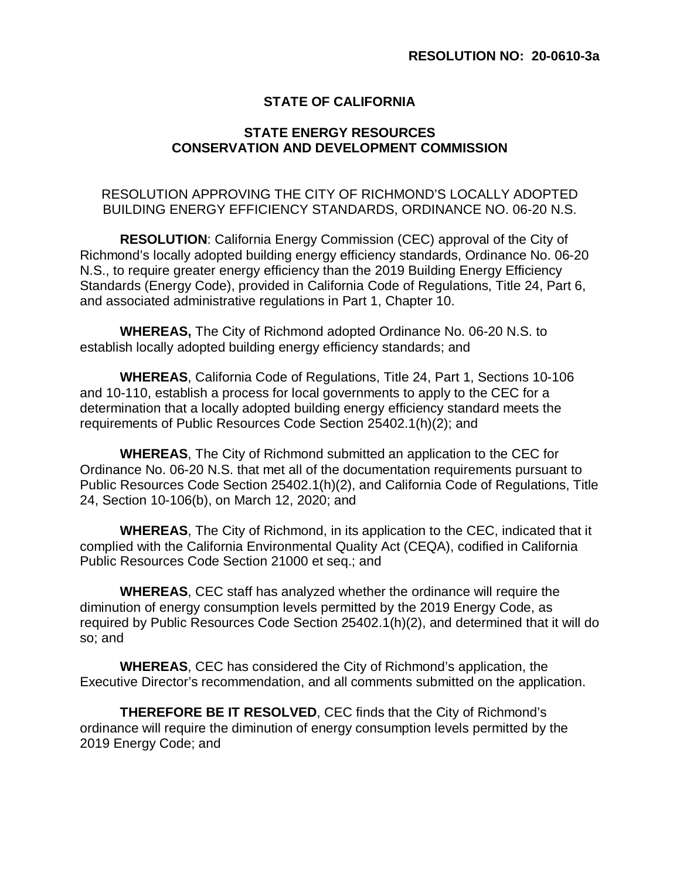### **STATE OF CALIFORNIA**

### **STATE ENERGY RESOURCES CONSERVATION AND DEVELOPMENT COMMISSION**

#### RESOLUTION APPROVING THE CITY OF RICHMOND'S LOCALLY ADOPTED BUILDING ENERGY EFFICIENCY STANDARDS, ORDINANCE NO. 06-20 N.S.

**RESOLUTION**: California Energy Commission (CEC) approval of the City of Richmond's locally adopted building energy efficiency standards, Ordinance No. 06-20 N.S., to require greater energy efficiency than the 2019 Building Energy Efficiency Standards (Energy Code), provided in California Code of Regulations, Title 24, Part 6, and associated administrative regulations in Part 1, Chapter 10.

**WHEREAS,** The City of Richmond adopted Ordinance No. 06-20 N.S. to establish locally adopted building energy efficiency standards; and

**WHEREAS**, California Code of Regulations, Title 24, Part 1, Sections 10-106 and 10-110, establish a process for local governments to apply to the CEC for a determination that a locally adopted building energy efficiency standard meets the requirements of Public Resources Code Section 25402.1(h)(2); and

**WHEREAS**, The City of Richmond submitted an application to the CEC for Ordinance No. 06-20 N.S. that met all of the documentation requirements pursuant to Public Resources Code Section 25402.1(h)(2), and California Code of Regulations, Title 24, Section 10-106(b), on March 12, 2020; and

**WHEREAS**, The City of Richmond, in its application to the CEC, indicated that it complied with the California Environmental Quality Act (CEQA), codified in California Public Resources Code Section 21000 et seq.; and

**WHEREAS**, CEC staff has analyzed whether the ordinance will require the diminution of energy consumption levels permitted by the 2019 Energy Code, as required by Public Resources Code Section 25402.1(h)(2), and determined that it will do so; and

**WHEREAS**, CEC has considered the City of Richmond's application, the Executive Director's recommendation, and all comments submitted on the application.

**THEREFORE BE IT RESOLVED**, CEC finds that the City of Richmond's ordinance will require the diminution of energy consumption levels permitted by the 2019 Energy Code; and